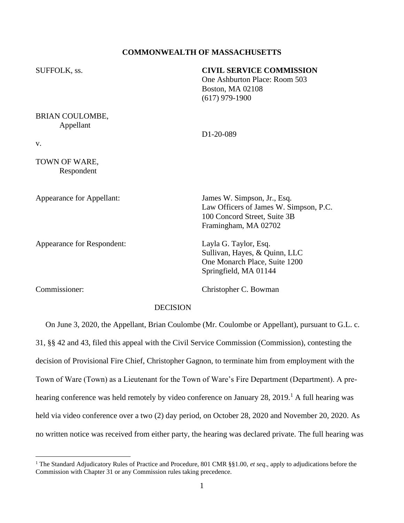# **COMMONWEALTH OF MASSACHUSETTS**

| SUFFOLK, ss.                                                                                       | <b>CIVIL SERVICE COMMISSION</b><br>One Ashburton Place: Room 503<br><b>Boston, MA 02108</b><br>$(617)$ 979-1900               |
|----------------------------------------------------------------------------------------------------|-------------------------------------------------------------------------------------------------------------------------------|
| BRIAN COULOMBE,<br>Appellant<br>V.                                                                 | D1-20-089                                                                                                                     |
| TOWN OF WARE,<br>Respondent                                                                        |                                                                                                                               |
| Appearance for Appellant:                                                                          | James W. Simpson, Jr., Esq.<br>Law Officers of James W. Simpson, P.C.<br>100 Concord Street, Suite 3B<br>Framingham, MA 02702 |
| Appearance for Respondent:                                                                         | Layla G. Taylor, Esq.<br>Sullivan, Hayes, & Quinn, LLC<br>One Monarch Place, Suite 1200<br>Springfield, MA 01144              |
| Commissioner:                                                                                      | Christopher C. Bowman                                                                                                         |
| <b>DECISION</b>                                                                                    |                                                                                                                               |
| On June 3, 2020, the Appellant, Brian Coulombe (Mr. Coulombe or Appellant), pursuant to G.L. c.    |                                                                                                                               |
| 31, §§ 42 and 43, filed this appeal with the Civil Service Commission (Commission), contesting the |                                                                                                                               |
| decision of Provisional Fire Chief, Christopher Gagnon, to terminate him from employment with the  |                                                                                                                               |

Town of Ware (Town) as a Lieutenant for the Town of Ware's Fire Department (Department). A pre-

hearing conference was held remotely by video conference on January 28, 2019.<sup>1</sup> A full hearing was

held via video conference over a two (2) day period, on October 28, 2020 and November 20, 2020. As

no written notice was received from either party, the hearing was declared private. The full hearing was

<sup>1</sup> The Standard Adjudicatory Rules of Practice and Procedure, 801 CMR §§1.00, *et seq*., apply to adjudications before the Commission with Chapter 31 or any Commission rules taking precedence.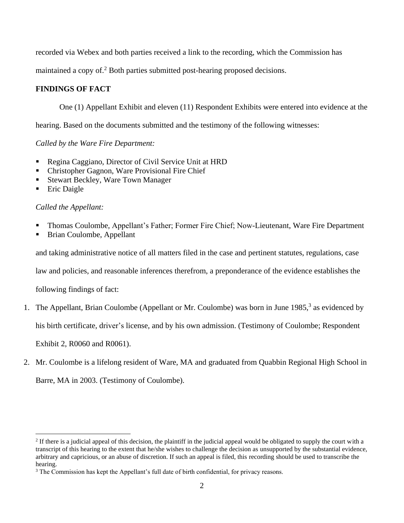recorded via Webex and both parties received a link to the recording, which the Commission has

maintained a copy of.<sup>2</sup> Both parties submitted post-hearing proposed decisions.

# **FINDINGS OF FACT**

One (1) Appellant Exhibit and eleven (11) Respondent Exhibits were entered into evidence at the

hearing. Based on the documents submitted and the testimony of the following witnesses:

*Called by the Ware Fire Department:*

- Regina Caggiano, Director of Civil Service Unit at HRD
- Christopher Gagnon, Ware Provisional Fire Chief
- Stewart Beckley, Ware Town Manager
- **Eric Daigle**

# *Called the Appellant:*

- Thomas Coulombe, Appellant's Father; Former Fire Chief; Now-Lieutenant, Ware Fire Department
- Brian Coulombe, Appellant

and taking administrative notice of all matters filed in the case and pertinent statutes, regulations, case

law and policies, and reasonable inferences therefrom, a preponderance of the evidence establishes the

following findings of fact:

1. The Appellant, Brian Coulombe (Appellant or Mr. Coulombe) was born in June 1985, 3 as evidenced by

his birth certificate, driver's license, and by his own admission. (Testimony of Coulombe; Respondent

Exhibit 2, R0060 and R0061).

2. Mr. Coulombe is a lifelong resident of Ware, MA and graduated from Quabbin Regional High School in Barre, MA in 2003. (Testimony of Coulombe).

 $2<sup>2</sup>$  If there is a judicial appeal of this decision, the plaintiff in the judicial appeal would be obligated to supply the court with a transcript of this hearing to the extent that he/she wishes to challenge the decision as unsupported by the substantial evidence, arbitrary and capricious, or an abuse of discretion. If such an appeal is filed, this recording should be used to transcribe the hearing.

<sup>&</sup>lt;sup>3</sup> The Commission has kept the Appellant's full date of birth confidential, for privacy reasons.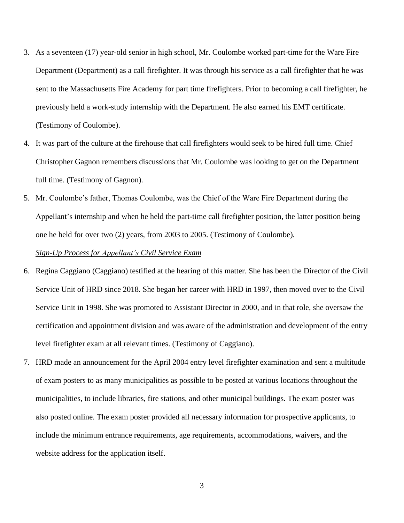- 3. As a seventeen (17) year-old senior in high school, Mr. Coulombe worked part-time for the Ware Fire Department (Department) as a call firefighter. It was through his service as a call firefighter that he was sent to the Massachusetts Fire Academy for part time firefighters. Prior to becoming a call firefighter, he previously held a work-study internship with the Department. He also earned his EMT certificate. (Testimony of Coulombe).
- 4. It was part of the culture at the firehouse that call firefighters would seek to be hired full time. Chief Christopher Gagnon remembers discussions that Mr. Coulombe was looking to get on the Department full time. (Testimony of Gagnon).
- 5. Mr. Coulombe's father, Thomas Coulombe, was the Chief of the Ware Fire Department during the Appellant's internship and when he held the part-time call firefighter position, the latter position being one he held for over two (2) years, from 2003 to 2005. (Testimony of Coulombe).

## *Sign-Up Process for Appellant's Civil Service Exam*

- 6. Regina Caggiano (Caggiano) testified at the hearing of this matter. She has been the Director of the Civil Service Unit of HRD since 2018. She began her career with HRD in 1997, then moved over to the Civil Service Unit in 1998. She was promoted to Assistant Director in 2000, and in that role, she oversaw the certification and appointment division and was aware of the administration and development of the entry level firefighter exam at all relevant times. (Testimony of Caggiano).
- 7. HRD made an announcement for the April 2004 entry level firefighter examination and sent a multitude of exam posters to as many municipalities as possible to be posted at various locations throughout the municipalities, to include libraries, fire stations, and other municipal buildings. The exam poster was also posted online. The exam poster provided all necessary information for prospective applicants, to include the minimum entrance requirements, age requirements, accommodations, waivers, and the website address for the application itself.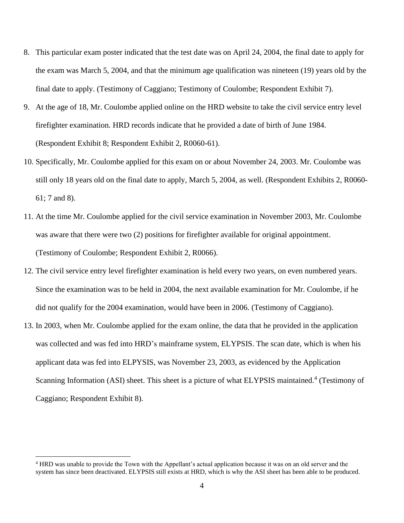- 8. This particular exam poster indicated that the test date was on April 24, 2004, the final date to apply for the exam was March 5, 2004, and that the minimum age qualification was nineteen (19) years old by the final date to apply. (Testimony of Caggiano; Testimony of Coulombe; Respondent Exhibit 7).
- 9. At the age of 18, Mr. Coulombe applied online on the HRD website to take the civil service entry level firefighter examination. HRD records indicate that he provided a date of birth of June 1984. (Respondent Exhibit 8; Respondent Exhibit 2, R0060-61).
- 10. Specifically, Mr. Coulombe applied for this exam on or about November 24, 2003. Mr. Coulombe was still only 18 years old on the final date to apply, March 5, 2004, as well. (Respondent Exhibits 2, R0060- 61; 7 and 8).
- 11. At the time Mr. Coulombe applied for the civil service examination in November 2003, Mr. Coulombe was aware that there were two (2) positions for firefighter available for original appointment. (Testimony of Coulombe; Respondent Exhibit 2, R0066).
- 12. The civil service entry level firefighter examination is held every two years, on even numbered years. Since the examination was to be held in 2004, the next available examination for Mr. Coulombe, if he did not qualify for the 2004 examination, would have been in 2006. (Testimony of Caggiano).
- 13. In 2003, when Mr. Coulombe applied for the exam online, the data that he provided in the application was collected and was fed into HRD's mainframe system, ELYPSIS. The scan date, which is when his applicant data was fed into ELPYSIS, was November 23, 2003, as evidenced by the Application Scanning Information (ASI) sheet. This sheet is a picture of what ELYPSIS maintained.<sup>4</sup> (Testimony of Caggiano; Respondent Exhibit 8).

<sup>&</sup>lt;sup>4</sup> HRD was unable to provide the Town with the Appellant's actual application because it was on an old server and the system has since been deactivated. ELYPSIS still exists at HRD, which is why the ASI sheet has been able to be produced.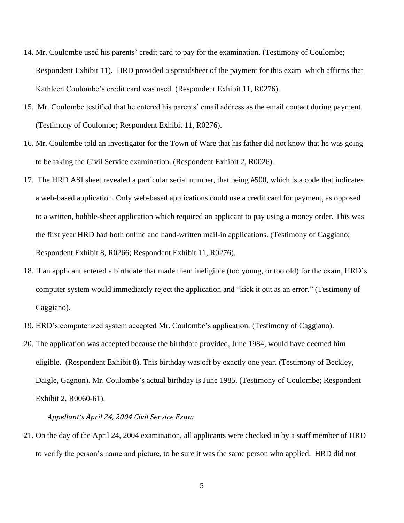- 14. Mr. Coulombe used his parents' credit card to pay for the examination. (Testimony of Coulombe; Respondent Exhibit 11). HRD provided a spreadsheet of the payment for this exam which affirms that Kathleen Coulombe's credit card was used. (Respondent Exhibit 11, R0276).
- 15. Mr. Coulombe testified that he entered his parents' email address as the email contact during payment. (Testimony of Coulombe; Respondent Exhibit 11, R0276).
- 16. Mr. Coulombe told an investigator for the Town of Ware that his father did not know that he was going to be taking the Civil Service examination. (Respondent Exhibit 2, R0026).
- 17. The HRD ASI sheet revealed a particular serial number, that being #500, which is a code that indicates a web-based application. Only web-based applications could use a credit card for payment, as opposed to a written, bubble-sheet application which required an applicant to pay using a money order. This was the first year HRD had both online and hand-written mail-in applications. (Testimony of Caggiano; Respondent Exhibit 8, R0266; Respondent Exhibit 11, R0276).
- 18. If an applicant entered a birthdate that made them ineligible (too young, or too old) for the exam, HRD's computer system would immediately reject the application and "kick it out as an error." (Testimony of Caggiano).
- 19. HRD's computerized system accepted Mr. Coulombe's application. (Testimony of Caggiano).
- 20. The application was accepted because the birthdate provided, June 1984, would have deemed him eligible. (Respondent Exhibit 8). This birthday was off by exactly one year. (Testimony of Beckley, Daigle, Gagnon). Mr. Coulombe's actual birthday is June 1985. (Testimony of Coulombe; Respondent Exhibit 2, R0060-61).

#### *Appellant's April 24, 2004 Civil Service Exam*

21. On the day of the April 24, 2004 examination, all applicants were checked in by a staff member of HRD to verify the person's name and picture, to be sure it was the same person who applied. HRD did not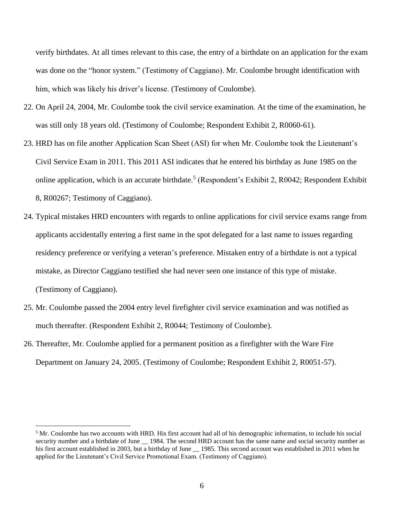verify birthdates. At all times relevant to this case, the entry of a birthdate on an application for the exam was done on the "honor system." (Testimony of Caggiano). Mr. Coulombe brought identification with him, which was likely his driver's license. (Testimony of Coulombe).

- 22. On April 24, 2004, Mr. Coulombe took the civil service examination. At the time of the examination, he was still only 18 years old. (Testimony of Coulombe; Respondent Exhibit 2, R0060-61).
- 23. HRD has on file another Application Scan Sheet (ASI) for when Mr. Coulombe took the Lieutenant's Civil Service Exam in 2011. This 2011 ASI indicates that he entered his birthday as June 1985 on the online application, which is an accurate birthdate.<sup>5</sup> (Respondent's Exhibit 2, R0042; Respondent Exhibit 8, R00267; Testimony of Caggiano).
- 24. Typical mistakes HRD encounters with regards to online applications for civil service exams range from applicants accidentally entering a first name in the spot delegated for a last name to issues regarding residency preference or verifying a veteran's preference. Mistaken entry of a birthdate is not a typical mistake, as Director Caggiano testified she had never seen one instance of this type of mistake. (Testimony of Caggiano).
- 25. Mr. Coulombe passed the 2004 entry level firefighter civil service examination and was notified as much thereafter. (Respondent Exhibit 2, R0044; Testimony of Coulombe).
- 26. Thereafter, Mr. Coulombe applied for a permanent position as a firefighter with the Ware Fire Department on January 24, 2005. (Testimony of Coulombe; Respondent Exhibit 2, R0051-57).

<sup>&</sup>lt;sup>5</sup> Mr. Coulombe has two accounts with HRD. His first account had all of his demographic information, to include his social security number and a birthdate of June 1984. The second HRD account has the same name and social security number as his first account established in 2003, but a birthday of June 1985. This second account was established in 2011 when he applied for the Lieutenant's Civil Service Promotional Exam. (Testimony of Caggiano).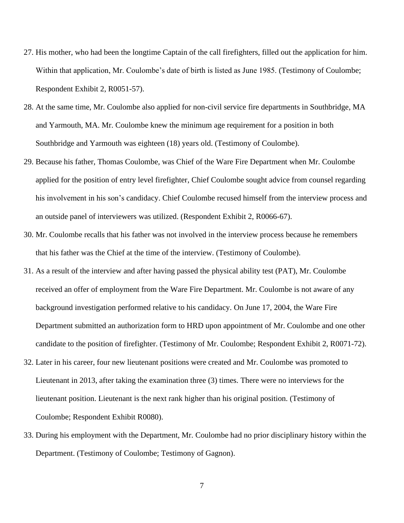- 27. His mother, who had been the longtime Captain of the call firefighters, filled out the application for him. Within that application, Mr. Coulombe's date of birth is listed as June 1985. (Testimony of Coulombe; Respondent Exhibit 2, R0051-57).
- 28. At the same time, Mr. Coulombe also applied for non-civil service fire departments in Southbridge, MA and Yarmouth, MA. Mr. Coulombe knew the minimum age requirement for a position in both Southbridge and Yarmouth was eighteen (18) years old. (Testimony of Coulombe).
- 29. Because his father, Thomas Coulombe, was Chief of the Ware Fire Department when Mr. Coulombe applied for the position of entry level firefighter, Chief Coulombe sought advice from counsel regarding his involvement in his son's candidacy. Chief Coulombe recused himself from the interview process and an outside panel of interviewers was utilized. (Respondent Exhibit 2, R0066-67).
- 30. Mr. Coulombe recalls that his father was not involved in the interview process because he remembers that his father was the Chief at the time of the interview. (Testimony of Coulombe).
- 31. As a result of the interview and after having passed the physical ability test (PAT), Mr. Coulombe received an offer of employment from the Ware Fire Department. Mr. Coulombe is not aware of any background investigation performed relative to his candidacy. On June 17, 2004, the Ware Fire Department submitted an authorization form to HRD upon appointment of Mr. Coulombe and one other candidate to the position of firefighter. (Testimony of Mr. Coulombe; Respondent Exhibit 2, R0071-72).
- 32. Later in his career, four new lieutenant positions were created and Mr. Coulombe was promoted to Lieutenant in 2013, after taking the examination three (3) times. There were no interviews for the lieutenant position. Lieutenant is the next rank higher than his original position. (Testimony of Coulombe; Respondent Exhibit R0080).
- 33. During his employment with the Department, Mr. Coulombe had no prior disciplinary history within the Department. (Testimony of Coulombe; Testimony of Gagnon).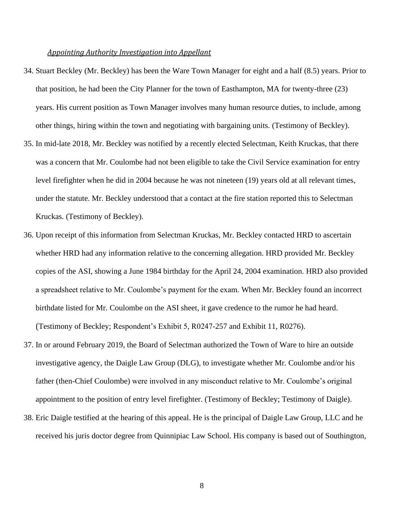#### *Appointing Authority Investigation into Appellant*

- 34. Stuart Beckley (Mr. Beckley) has been the Ware Town Manager for eight and a half (8.5) years. Prior to that position, he had been the City Planner for the town of Easthampton, MA for twenty-three (23) years. His current position as Town Manager involves many human resource duties, to include, among other things, hiring within the town and negotiating with bargaining units. (Testimony of Beckley).
- 35. In mid-late 2018, Mr. Beckley was notified by a recently elected Selectman, Keith Kruckas, that there was a concern that Mr. Coulombe had not been eligible to take the Civil Service examination for entry level firefighter when he did in 2004 because he was not nineteen (19) years old at all relevant times, under the statute. Mr. Beckley understood that a contact at the fire station reported this to Selectman Kruckas. (Testimony of Beckley).
- 36. Upon receipt of this information from Selectman Kruckas, Mr. Beckley contacted HRD to ascertain whether HRD had any information relative to the concerning allegation. HRD provided Mr. Beckley copies of the ASI, showing a June 1984 birthday for the April 24, 2004 examination. HRD also provided a spreadsheet relative to Mr. Coulombe's payment for the exam. When Mr. Beckley found an incorrect birthdate listed for Mr. Coulombe on the ASI sheet, it gave credence to the rumor he had heard. (Testimony of Beckley; Respondent's Exhibit 5, R0247-257 and Exhibit 11, R0276).
- 37. In or around February 2019, the Board of Selectman authorized the Town of Ware to hire an outside investigative agency, the Daigle Law Group (DLG), to investigate whether Mr. Coulombe and/or his father (then-Chief Coulombe) were involved in any misconduct relative to Mr. Coulombe's original appointment to the position of entry level firefighter. (Testimony of Beckley; Testimony of Daigle).
- 38. Eric Daigle testified at the hearing of this appeal. He is the principal of Daigle Law Group, LLC and he received his juris doctor degree from Quinnipiac Law School. His company is based out of Southington,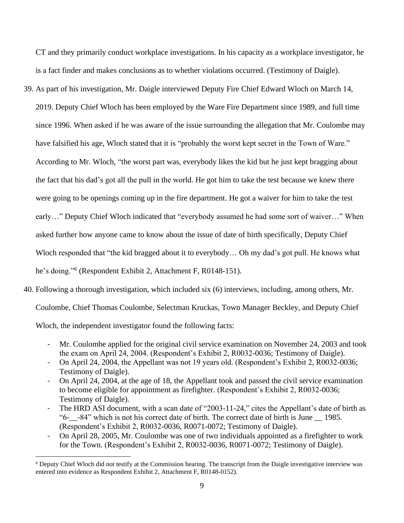CT and they primarily conduct workplace investigations. In his capacity as a workplace investigator, he is a fact finder and makes conclusions as to whether violations occurred. (Testimony of Daigle).

39. As part of his investigation, Mr. Daigle interviewed Deputy Fire Chief Edward Wloch on March 14,

since 1996. When asked if he was aware of the issue surrounding the allegation that Mr. Coulombe may

2019. Deputy Chief Wloch has been employed by the Ware Fire Department since 1989, and full time

have falsified his age, Wloch stated that it is "probably the worst kept secret in the Town of Ware."

According to Mr. Wloch, "the worst part was, everybody likes the kid but he just kept bragging about

the fact that his dad's got all the pull in the world. He got him to take the test because we knew there

were going to be openings coming up in the fire department. He got a waiver for him to take the test

early…" Deputy Chief Wloch indicated that "everybody assumed he had some sort of waiver…" When

asked further how anyone came to know about the issue of date of birth specifically, Deputy Chief

Wloch responded that "the kid bragged about it to everybody… Oh my dad's got pull. He knows what

he's doing." 6 (Respondent Exhibit 2, Attachment F, R0148-151).

40. Following a thorough investigation, which included six (6) interviews, including, among others, Mr.

Coulombe, Chief Thomas Coulombe, Selectman Kruckas, Town Manager Beckley, and Deputy Chief

Wloch, the independent investigator found the following facts:

- Mr. Coulombe applied for the original civil service examination on November 24, 2003 and took the exam on April 24, 2004. (Respondent's Exhibit 2, R0032-0036; Testimony of Daigle).
- On April 24, 2004, the Appellant was not 19 years old. (Respondent's Exhibit 2, R0032-0036; Testimony of Daigle).
- On April 24, 2004, at the age of 18, the Appellant took and passed the civil service examination to become eligible for appointment as firefighter. (Respondent's Exhibit 2, R0032-0036; Testimony of Daigle).
- The HRD ASI document, with a scan date of "2003-11-24," cites the Appellant's date of birth as "6-\_\_-84" which is not his correct date of birth. The correct date of birth is June \_\_ 1985. (Respondent's Exhibit 2, R0032-0036, R0071-0072; Testimony of Daigle).
- On April 28, 2005, Mr. Coulombe was one of two individuals appointed as a firefighter to work for the Town. (Respondent's Exhibit 2, R0032-0036, R0071-0072; Testimony of Daigle).

<sup>6</sup> Deputy Chief Wloch did not testify at the Commission hearing. The transcript from the Daigle investigative interview was entered into evidence as Respondent Exhibit 2, Attachment F, R0148-0152).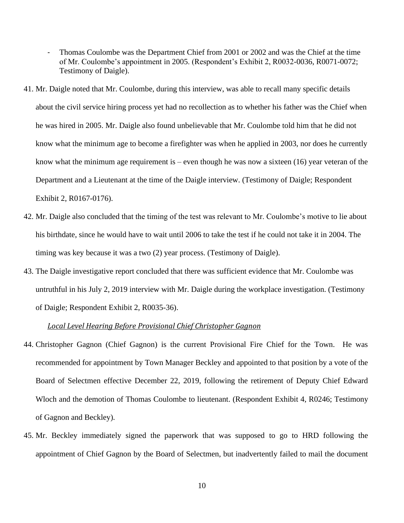- Thomas Coulombe was the Department Chief from 2001 or 2002 and was the Chief at the time of Mr. Coulombe's appointment in 2005. (Respondent's Exhibit 2, R0032-0036, R0071-0072; Testimony of Daigle).
- 41. Mr. Daigle noted that Mr. Coulombe, during this interview, was able to recall many specific details about the civil service hiring process yet had no recollection as to whether his father was the Chief when he was hired in 2005. Mr. Daigle also found unbelievable that Mr. Coulombe told him that he did not know what the minimum age to become a firefighter was when he applied in 2003, nor does he currently know what the minimum age requirement is – even though he was now a sixteen  $(16)$  year veteran of the Department and a Lieutenant at the time of the Daigle interview. (Testimony of Daigle; Respondent Exhibit 2, R0167-0176).
- 42. Mr. Daigle also concluded that the timing of the test was relevant to Mr. Coulombe's motive to lie about his birthdate, since he would have to wait until 2006 to take the test if he could not take it in 2004. The timing was key because it was a two (2) year process. (Testimony of Daigle).
- 43. The Daigle investigative report concluded that there was sufficient evidence that Mr. Coulombe was untruthful in his July 2, 2019 interview with Mr. Daigle during the workplace investigation. (Testimony of Daigle; Respondent Exhibit 2, R0035-36).

## *Local Level Hearing Before Provisional Chief Christopher Gagnon*

- 44. Christopher Gagnon (Chief Gagnon) is the current Provisional Fire Chief for the Town. He was recommended for appointment by Town Manager Beckley and appointed to that position by a vote of the Board of Selectmen effective December 22, 2019, following the retirement of Deputy Chief Edward Wloch and the demotion of Thomas Coulombe to lieutenant. (Respondent Exhibit 4, R0246; Testimony of Gagnon and Beckley).
- 45. Mr. Beckley immediately signed the paperwork that was supposed to go to HRD following the appointment of Chief Gagnon by the Board of Selectmen, but inadvertently failed to mail the document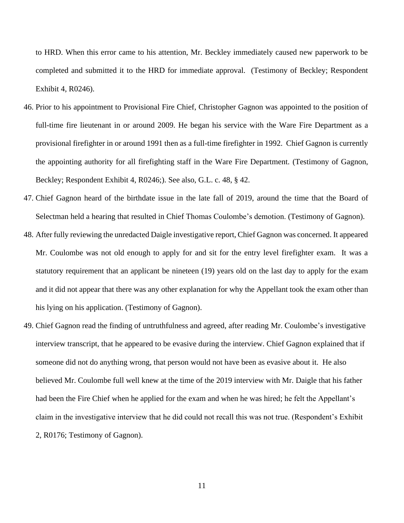to HRD. When this error came to his attention, Mr. Beckley immediately caused new paperwork to be completed and submitted it to the HRD for immediate approval. (Testimony of Beckley; Respondent Exhibit 4, R0246).

- 46. Prior to his appointment to Provisional Fire Chief, Christopher Gagnon was appointed to the position of full-time fire lieutenant in or around 2009. He began his service with the Ware Fire Department as a provisional firefighter in or around 1991 then as a full-time firefighter in 1992. Chief Gagnon is currently the appointing authority for all firefighting staff in the Ware Fire Department. (Testimony of Gagnon, Beckley; Respondent Exhibit 4, R0246;). See also, G.L. c. 48, § 42.
- 47. Chief Gagnon heard of the birthdate issue in the late fall of 2019, around the time that the Board of Selectman held a hearing that resulted in Chief Thomas Coulombe's demotion. (Testimony of Gagnon).
- 48. After fully reviewing the unredacted Daigle investigative report, Chief Gagnon was concerned. It appeared Mr. Coulombe was not old enough to apply for and sit for the entry level firefighter exam. It was a statutory requirement that an applicant be nineteen (19) years old on the last day to apply for the exam and it did not appear that there was any other explanation for why the Appellant took the exam other than his lying on his application. (Testimony of Gagnon).
- 49. Chief Gagnon read the finding of untruthfulness and agreed, after reading Mr. Coulombe's investigative interview transcript, that he appeared to be evasive during the interview. Chief Gagnon explained that if someone did not do anything wrong, that person would not have been as evasive about it. He also believed Mr. Coulombe full well knew at the time of the 2019 interview with Mr. Daigle that his father had been the Fire Chief when he applied for the exam and when he was hired; he felt the Appellant's claim in the investigative interview that he did could not recall this was not true. (Respondent's Exhibit 2, R0176; Testimony of Gagnon).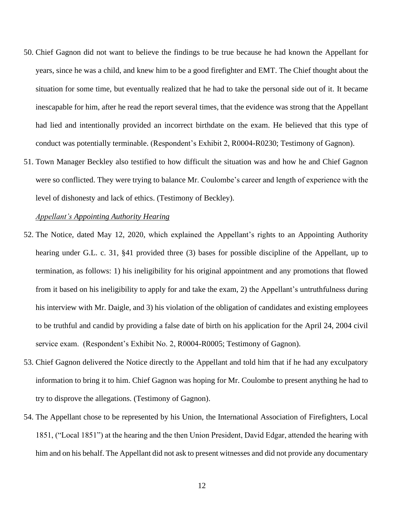- 50. Chief Gagnon did not want to believe the findings to be true because he had known the Appellant for years, since he was a child, and knew him to be a good firefighter and EMT. The Chief thought about the situation for some time, but eventually realized that he had to take the personal side out of it. It became inescapable for him, after he read the report several times, that the evidence was strong that the Appellant had lied and intentionally provided an incorrect birthdate on the exam. He believed that this type of conduct was potentially terminable. (Respondent's Exhibit 2, R0004-R0230; Testimony of Gagnon).
- 51. Town Manager Beckley also testified to how difficult the situation was and how he and Chief Gagnon were so conflicted. They were trying to balance Mr. Coulombe's career and length of experience with the level of dishonesty and lack of ethics. (Testimony of Beckley).

#### *Appellant's Appointing Authority Hearing*

- 52. The Notice, dated May 12, 2020, which explained the Appellant's rights to an Appointing Authority hearing under G.L. c. 31, §41 provided three (3) bases for possible discipline of the Appellant, up to termination, as follows: 1) his ineligibility for his original appointment and any promotions that flowed from it based on his ineligibility to apply for and take the exam, 2) the Appellant's untruthfulness during his interview with Mr. Daigle, and 3) his violation of the obligation of candidates and existing employees to be truthful and candid by providing a false date of birth on his application for the April 24, 2004 civil service exam. (Respondent's Exhibit No. 2, R0004-R0005; Testimony of Gagnon).
- 53. Chief Gagnon delivered the Notice directly to the Appellant and told him that if he had any exculpatory information to bring it to him. Chief Gagnon was hoping for Mr. Coulombe to present anything he had to try to disprove the allegations. (Testimony of Gagnon).
- 54. The Appellant chose to be represented by his Union, the International Association of Firefighters, Local 1851, ("Local 1851") at the hearing and the then Union President, David Edgar, attended the hearing with him and on his behalf. The Appellant did not ask to present witnesses and did not provide any documentary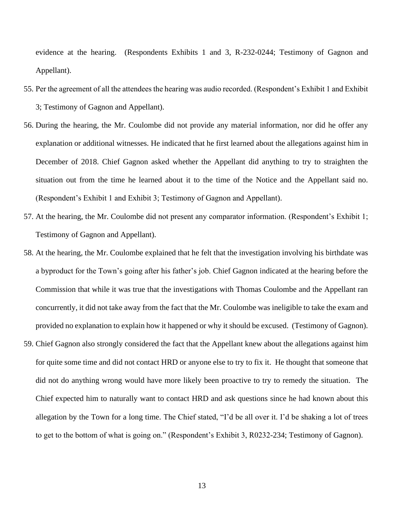evidence at the hearing. (Respondents Exhibits 1 and 3, R-232-0244; Testimony of Gagnon and Appellant).

- 55. Per the agreement of all the attendees the hearing was audio recorded. (Respondent's Exhibit 1 and Exhibit 3; Testimony of Gagnon and Appellant).
- 56. During the hearing, the Mr. Coulombe did not provide any material information, nor did he offer any explanation or additional witnesses. He indicated that he first learned about the allegations against him in December of 2018. Chief Gagnon asked whether the Appellant did anything to try to straighten the situation out from the time he learned about it to the time of the Notice and the Appellant said no. (Respondent's Exhibit 1 and Exhibit 3; Testimony of Gagnon and Appellant).
- 57. At the hearing, the Mr. Coulombe did not present any comparator information. (Respondent's Exhibit 1; Testimony of Gagnon and Appellant).
- 58. At the hearing, the Mr. Coulombe explained that he felt that the investigation involving his birthdate was a byproduct for the Town's going after his father's job. Chief Gagnon indicated at the hearing before the Commission that while it was true that the investigations with Thomas Coulombe and the Appellant ran concurrently, it did not take away from the fact that the Mr. Coulombe was ineligible to take the exam and provided no explanation to explain how it happened or why it should be excused. (Testimony of Gagnon).
- 59. Chief Gagnon also strongly considered the fact that the Appellant knew about the allegations against him for quite some time and did not contact HRD or anyone else to try to fix it. He thought that someone that did not do anything wrong would have more likely been proactive to try to remedy the situation. The Chief expected him to naturally want to contact HRD and ask questions since he had known about this allegation by the Town for a long time. The Chief stated, "I'd be all over it. I'd be shaking a lot of trees to get to the bottom of what is going on." (Respondent's Exhibit 3, R0232-234; Testimony of Gagnon).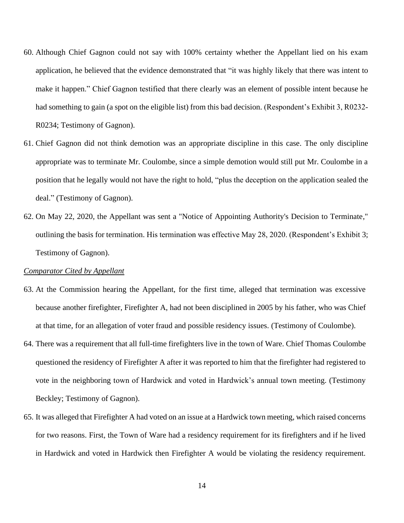- 60. Although Chief Gagnon could not say with 100% certainty whether the Appellant lied on his exam application, he believed that the evidence demonstrated that "it was highly likely that there was intent to make it happen." Chief Gagnon testified that there clearly was an element of possible intent because he had something to gain (a spot on the eligible list) from this bad decision. (Respondent's Exhibit 3, R0232- R0234; Testimony of Gagnon).
- 61. Chief Gagnon did not think demotion was an appropriate discipline in this case. The only discipline appropriate was to terminate Mr. Coulombe, since a simple demotion would still put Mr. Coulombe in a position that he legally would not have the right to hold, "plus the deception on the application sealed the deal." (Testimony of Gagnon).
- 62. On May 22, 2020, the Appellant was sent a "Notice of Appointing Authority's Decision to Terminate," outlining the basis for termination. His termination was effective May 28, 2020. (Respondent's Exhibit 3; Testimony of Gagnon).

## *Comparator Cited by Appellant*

- 63. At the Commission hearing the Appellant, for the first time, alleged that termination was excessive because another firefighter, Firefighter A, had not been disciplined in 2005 by his father, who was Chief at that time, for an allegation of voter fraud and possible residency issues. (Testimony of Coulombe).
- 64. There was a requirement that all full-time firefighters live in the town of Ware. Chief Thomas Coulombe questioned the residency of Firefighter A after it was reported to him that the firefighter had registered to vote in the neighboring town of Hardwick and voted in Hardwick's annual town meeting. (Testimony Beckley; Testimony of Gagnon).
- 65. It was alleged that Firefighter A had voted on an issue at a Hardwick town meeting, which raised concerns for two reasons. First, the Town of Ware had a residency requirement for its firefighters and if he lived in Hardwick and voted in Hardwick then Firefighter A would be violating the residency requirement.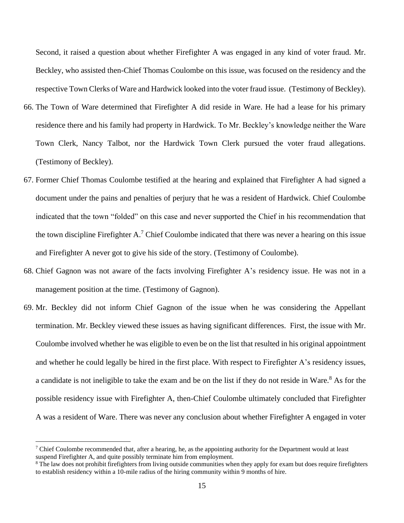Second, it raised a question about whether Firefighter A was engaged in any kind of voter fraud. Mr. Beckley, who assisted then-Chief Thomas Coulombe on this issue, was focused on the residency and the respective Town Clerks of Ware and Hardwick looked into the voter fraud issue. (Testimony of Beckley).

- 66. The Town of Ware determined that Firefighter A did reside in Ware. He had a lease for his primary residence there and his family had property in Hardwick. To Mr. Beckley's knowledge neither the Ware Town Clerk, Nancy Talbot, nor the Hardwick Town Clerk pursued the voter fraud allegations. (Testimony of Beckley).
- 67. Former Chief Thomas Coulombe testified at the hearing and explained that Firefighter A had signed a document under the pains and penalties of perjury that he was a resident of Hardwick. Chief Coulombe indicated that the town "folded" on this case and never supported the Chief in his recommendation that the town discipline Firefighter  $A<sup>7</sup>$  Chief Coulombe indicated that there was never a hearing on this issue and Firefighter A never got to give his side of the story. (Testimony of Coulombe).
- 68. Chief Gagnon was not aware of the facts involving Firefighter A's residency issue. He was not in a management position at the time. (Testimony of Gagnon).
- 69. Mr. Beckley did not inform Chief Gagnon of the issue when he was considering the Appellant termination. Mr. Beckley viewed these issues as having significant differences. First, the issue with Mr. Coulombe involved whether he was eligible to even be on the list that resulted in his original appointment and whether he could legally be hired in the first place. With respect to Firefighter A's residency issues, a candidate is not ineligible to take the exam and be on the list if they do not reside in Ware.<sup>8</sup> As for the possible residency issue with Firefighter A, then-Chief Coulombe ultimately concluded that Firefighter A was a resident of Ware. There was never any conclusion about whether Firefighter A engaged in voter

<sup>&</sup>lt;sup>7</sup> Chief Coulombe recommended that, after a hearing, he, as the appointing authority for the Department would at least suspend Firefighter A, and quite possibly terminate him from employment.

<sup>&</sup>lt;sup>8</sup> The law does not prohibit firefighters from living outside communities when they apply for exam but does require firefighters to establish residency within a 10-mile radius of the hiring community within 9 months of hire.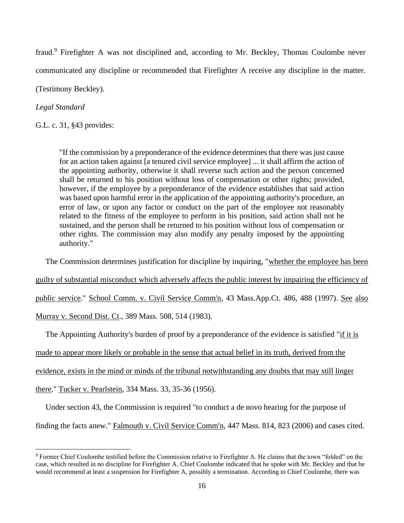fraud.<sup>9</sup> Firefighter A was not disciplined and, according to Mr. Beckley, Thomas Coulombe never communicated any discipline or recommended that Firefighter A receive any discipline in the matter.

(Testimony Beckley).

*Legal Standard*

G.L. c. 31, §43 provides:

"If the commission by a preponderance of the evidence determines that there was just cause for an action taken against [a tenured civil service employee] ... it shall affirm the action of the appointing authority, otherwise it shall reverse such action and the person concerned shall be returned to his position without loss of compensation or other rights; provided, however, if the employee by a preponderance of the evidence establishes that said action was based upon harmful error in the application of the appointing authority's procedure, an error of law, or upon any factor or conduct on the part of the employee not reasonably related to the fitness of the employee to perform in his position, said action shall not be sustained, and the person shall be returned to his position without loss of compensation or other rights. The commission may also modify any penalty imposed by the appointing authority."

The Commission determines justification for discipline by inquiring, "whether the employee has been

guilty of substantial misconduct which adversely affects the public interest by impairing the efficiency of

public service." School Comm. v. Civil Service Comm'n*,* 43 Mass.App.Ct. 486, 488 (1997). See also

Murray v. Second Dist. Ct., 389 Mass. 508, 514 (1983).

The Appointing Authority's burden of proof by a preponderance of the evidence is satisfied "if it is

made to appear more likely or probable in the sense that actual belief in its truth, derived from the

evidence, exists in the mind or minds of the tribunal notwithstanding any doubts that may still linger

there." Tucker v. Pearlstein*,* 334 Mass. 33, 35-36 (1956).

Under section 43, the Commission is required "to conduct a de novo hearing for the purpose of

finding the facts anew." Falmouth v. Civil Service Comm'n, 447 Mass. 814, 823 (2006) and cases cited.

<sup>9</sup> Former Chief Coulombe testified before the Commission relative to Firefighter A. He claims that the town "folded" on the case, which resulted in no discipline for Firefighter A. Chief Coulombe indicated that he spoke with Mr. Beckley and that he would recommend at least a suspension for Firefighter A, possibly a termination. According to Chief Coulombe, there was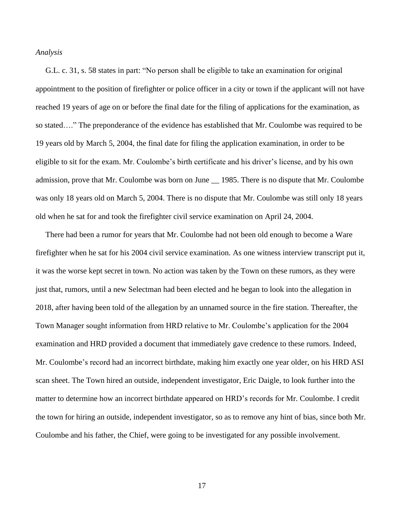#### *Analysis*

 G.L. c. 31, s. 58 states in part: "No person shall be eligible to take an examination for original appointment to the position of firefighter or police officer in a city or town if the applicant will not have reached 19 years of age on or before the final date for the filing of applications for the examination, as so stated…." The preponderance of the evidence has established that Mr. Coulombe was required to be 19 years old by March 5, 2004, the final date for filing the application examination, in order to be eligible to sit for the exam. Mr. Coulombe's birth certificate and his driver's license, and by his own admission, prove that Mr. Coulombe was born on June \_\_ 1985. There is no dispute that Mr. Coulombe was only 18 years old on March 5, 2004. There is no dispute that Mr. Coulombe was still only 18 years old when he sat for and took the firefighter civil service examination on April 24, 2004.

 There had been a rumor for years that Mr. Coulombe had not been old enough to become a Ware firefighter when he sat for his 2004 civil service examination. As one witness interview transcript put it, it was the worse kept secret in town. No action was taken by the Town on these rumors, as they were just that, rumors, until a new Selectman had been elected and he began to look into the allegation in 2018, after having been told of the allegation by an unnamed source in the fire station. Thereafter, the Town Manager sought information from HRD relative to Mr. Coulombe's application for the 2004 examination and HRD provided a document that immediately gave credence to these rumors. Indeed, Mr. Coulombe's record had an incorrect birthdate, making him exactly one year older, on his HRD ASI scan sheet. The Town hired an outside, independent investigator, Eric Daigle, to look further into the matter to determine how an incorrect birthdate appeared on HRD's records for Mr. Coulombe. I credit the town for hiring an outside, independent investigator, so as to remove any hint of bias, since both Mr. Coulombe and his father, the Chief, were going to be investigated for any possible involvement.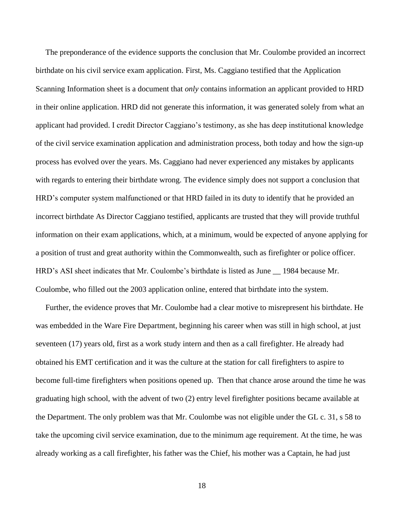The preponderance of the evidence supports the conclusion that Mr. Coulombe provided an incorrect birthdate on his civil service exam application. First, Ms. Caggiano testified that the Application Scanning Information sheet is a document that *only* contains information an applicant provided to HRD in their online application. HRD did not generate this information, it was generated solely from what an applicant had provided. I credit Director Caggiano's testimony, as she has deep institutional knowledge of the civil service examination application and administration process, both today and how the sign-up process has evolved over the years. Ms. Caggiano had never experienced any mistakes by applicants with regards to entering their birthdate wrong. The evidence simply does not support a conclusion that HRD's computer system malfunctioned or that HRD failed in its duty to identify that he provided an incorrect birthdate As Director Caggiano testified, applicants are trusted that they will provide truthful information on their exam applications, which, at a minimum, would be expected of anyone applying for a position of trust and great authority within the Commonwealth, such as firefighter or police officer. HRD's ASI sheet indicates that Mr. Coulombe's birthdate is listed as June \_\_ 1984 because Mr. Coulombe, who filled out the 2003 application online, entered that birthdate into the system.

 Further, the evidence proves that Mr. Coulombe had a clear motive to misrepresent his birthdate. He was embedded in the Ware Fire Department, beginning his career when was still in high school, at just seventeen (17) years old, first as a work study intern and then as a call firefighter. He already had obtained his EMT certification and it was the culture at the station for call firefighters to aspire to become full-time firefighters when positions opened up. Then that chance arose around the time he was graduating high school, with the advent of two (2) entry level firefighter positions became available at the Department. The only problem was that Mr. Coulombe was not eligible under the GL c. 31, s 58 to take the upcoming civil service examination, due to the minimum age requirement. At the time, he was already working as a call firefighter, his father was the Chief, his mother was a Captain, he had just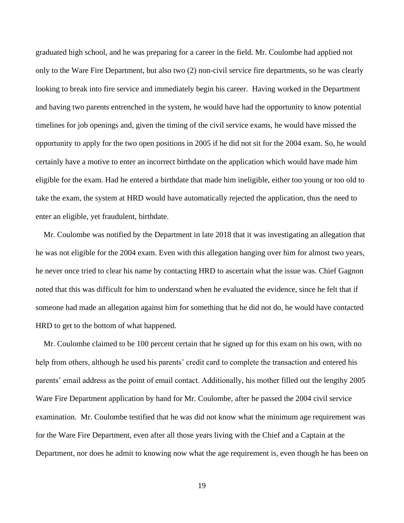graduated high school, and he was preparing for a career in the field. Mr. Coulombe had applied not only to the Ware Fire Department, but also two (2) non-civil service fire departments, so he was clearly looking to break into fire service and immediately begin his career. Having worked in the Department and having two parents entrenched in the system, he would have had the opportunity to know potential timelines for job openings and, given the timing of the civil service exams, he would have missed the opportunity to apply for the two open positions in 2005 if he did not sit for the 2004 exam. So, he would certainly have a motive to enter an incorrect birthdate on the application which would have made him eligible for the exam. Had he entered a birthdate that made him ineligible, either too young or too old to take the exam, the system at HRD would have automatically rejected the application, thus the need to enter an eligible, yet fraudulent, birthdate.

 Mr. Coulombe was notified by the Department in late 2018 that it was investigating an allegation that he was not eligible for the 2004 exam. Even with this allegation hanging over him for almost two years, he never once tried to clear his name by contacting HRD to ascertain what the issue was. Chief Gagnon noted that this was difficult for him to understand when he evaluated the evidence, since he felt that if someone had made an allegation against him for something that he did not do, he would have contacted HRD to get to the bottom of what happened.

 Mr. Coulombe claimed to be 100 percent certain that he signed up for this exam on his own, with no help from others, although he used his parents' credit card to complete the transaction and entered his parents' email address as the point of email contact. Additionally, his mother filled out the lengthy 2005 Ware Fire Department application by hand for Mr. Coulombe, after he passed the 2004 civil service examination. Mr. Coulombe testified that he was did not know what the minimum age requirement was for the Ware Fire Department, even after all those years living with the Chief and a Captain at the Department, nor does he admit to knowing now what the age requirement is, even though he has been on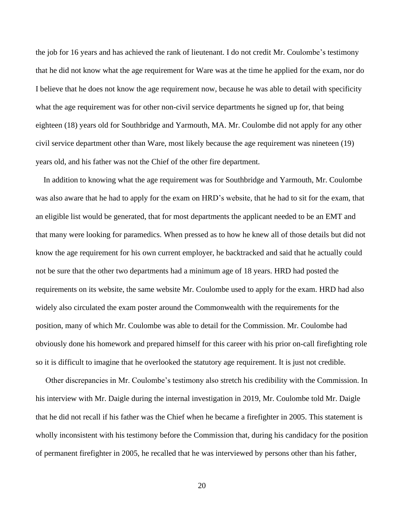the job for 16 years and has achieved the rank of lieutenant. I do not credit Mr. Coulombe's testimony that he did not know what the age requirement for Ware was at the time he applied for the exam, nor do I believe that he does not know the age requirement now, because he was able to detail with specificity what the age requirement was for other non-civil service departments he signed up for, that being eighteen (18) years old for Southbridge and Yarmouth, MA. Mr. Coulombe did not apply for any other civil service department other than Ware, most likely because the age requirement was nineteen (19) years old, and his father was not the Chief of the other fire department.

 In addition to knowing what the age requirement was for Southbridge and Yarmouth, Mr. Coulombe was also aware that he had to apply for the exam on HRD's website, that he had to sit for the exam, that an eligible list would be generated, that for most departments the applicant needed to be an EMT and that many were looking for paramedics. When pressed as to how he knew all of those details but did not know the age requirement for his own current employer, he backtracked and said that he actually could not be sure that the other two departments had a minimum age of 18 years. HRD had posted the requirements on its website, the same website Mr. Coulombe used to apply for the exam. HRD had also widely also circulated the exam poster around the Commonwealth with the requirements for the position, many of which Mr. Coulombe was able to detail for the Commission. Mr. Coulombe had obviously done his homework and prepared himself for this career with his prior on-call firefighting role so it is difficult to imagine that he overlooked the statutory age requirement. It is just not credible.

 Other discrepancies in Mr. Coulombe's testimony also stretch his credibility with the Commission. In his interview with Mr. Daigle during the internal investigation in 2019, Mr. Coulombe told Mr. Daigle that he did not recall if his father was the Chief when he became a firefighter in 2005. This statement is wholly inconsistent with his testimony before the Commission that, during his candidacy for the position of permanent firefighter in 2005, he recalled that he was interviewed by persons other than his father,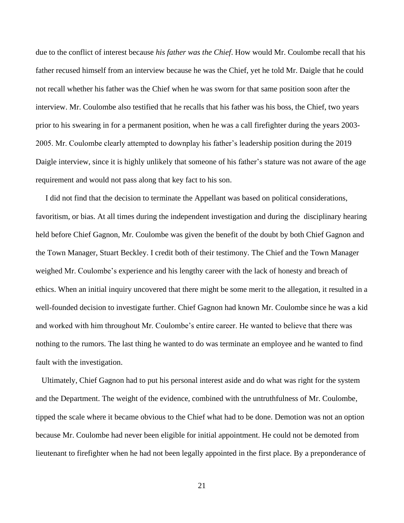due to the conflict of interest because *his father was the Chief*. How would Mr. Coulombe recall that his father recused himself from an interview because he was the Chief, yet he told Mr. Daigle that he could not recall whether his father was the Chief when he was sworn for that same position soon after the interview. Mr. Coulombe also testified that he recalls that his father was his boss, the Chief, two years prior to his swearing in for a permanent position, when he was a call firefighter during the years 2003- 2005. Mr. Coulombe clearly attempted to downplay his father's leadership position during the 2019 Daigle interview, since it is highly unlikely that someone of his father's stature was not aware of the age requirement and would not pass along that key fact to his son.

 I did not find that the decision to terminate the Appellant was based on political considerations, favoritism, or bias. At all times during the independent investigation and during the disciplinary hearing held before Chief Gagnon, Mr. Coulombe was given the benefit of the doubt by both Chief Gagnon and the Town Manager, Stuart Beckley. I credit both of their testimony. The Chief and the Town Manager weighed Mr. Coulombe's experience and his lengthy career with the lack of honesty and breach of ethics. When an initial inquiry uncovered that there might be some merit to the allegation, it resulted in a well-founded decision to investigate further. Chief Gagnon had known Mr. Coulombe since he was a kid and worked with him throughout Mr. Coulombe's entire career. He wanted to believe that there was nothing to the rumors. The last thing he wanted to do was terminate an employee and he wanted to find fault with the investigation.

 Ultimately, Chief Gagnon had to put his personal interest aside and do what was right for the system and the Department. The weight of the evidence, combined with the untruthfulness of Mr. Coulombe, tipped the scale where it became obvious to the Chief what had to be done. Demotion was not an option because Mr. Coulombe had never been eligible for initial appointment. He could not be demoted from lieutenant to firefighter when he had not been legally appointed in the first place. By a preponderance of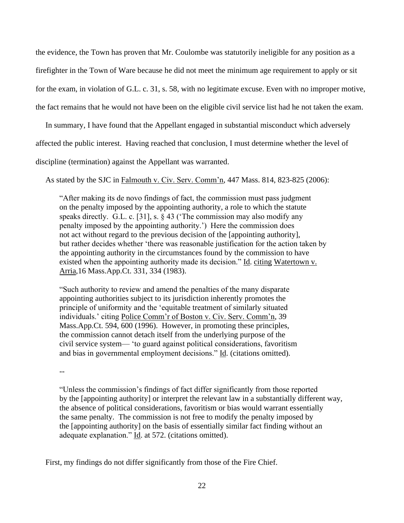the evidence, the Town has proven that Mr. Coulombe was statutorily ineligible for any position as a firefighter in the Town of Ware because he did not meet the minimum age requirement to apply or sit for the exam, in violation of G.L. c. 31, s. 58, with no legitimate excuse. Even with no improper motive, the fact remains that he would not have been on the eligible civil service list had he not taken the exam.

In summary, I have found that the Appellant engaged in substantial misconduct which adversely

affected the public interest. Having reached that conclusion, I must determine whether the level of

discipline (termination) against the Appellant was warranted.

As stated by the SJC in Falmouth v. Civ. Serv. Comm'n, 447 Mass. 814, 823-825 (2006):

 "After making its de novo findings of fact, the commission must pass judgment on the penalty imposed by the appointing authority, a role to which the statute speaks directly. G.L. c. [31], s. § 43 ('The commission may also modify any penalty imposed by the appointing authority.') Here the commission does not act without regard to the previous decision of the [appointing authority], but rather decides whether 'there was reasonable justification for the action taken by the appointing authority in the circumstances found by the commission to have existed when the appointing authority made its decision." Id. citing Watertown v. Arria,16 Mass.App.Ct. 331, 334 (1983).

"Such authority to review and amend the penalties of the many disparate appointing authorities subject to its jurisdiction inherently promotes the principle of uniformity and the 'equitable treatment of similarly situated individuals.' citing Police Comm'r of Boston v. Civ. Serv. Comm'n, 39 Mass.App.Ct. 594, 600 (1996). However, in promoting these principles, the commission cannot detach itself from the underlying purpose of the civil service system— 'to guard against political considerations, favoritism and bias in governmental employment decisions." Id. (citations omitted).

--

"Unless the commission's findings of fact differ significantly from those reported by the [appointing authority] or interpret the relevant law in a substantially different way, the absence of political considerations, favoritism or bias would warrant essentially the same penalty. The commission is not free to modify the penalty imposed by the [appointing authority] on the basis of essentially similar fact finding without an adequate explanation."  $\underline{Id}$ . at 572. (citations omitted).

First, my findings do not differ significantly from those of the Fire Chief.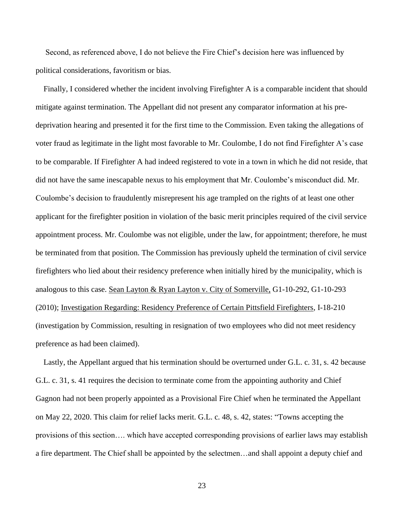Second, as referenced above, I do not believe the Fire Chief's decision here was influenced by political considerations, favoritism or bias.

 Finally, I considered whether the incident involving Firefighter A is a comparable incident that should mitigate against termination. The Appellant did not present any comparator information at his predeprivation hearing and presented it for the first time to the Commission. Even taking the allegations of voter fraud as legitimate in the light most favorable to Mr. Coulombe, I do not find Firefighter A's case to be comparable. If Firefighter A had indeed registered to vote in a town in which he did not reside, that did not have the same inescapable nexus to his employment that Mr. Coulombe's misconduct did. Mr. Coulombe's decision to fraudulently misrepresent his age trampled on the rights of at least one other applicant for the firefighter position in violation of the basic merit principles required of the civil service appointment process. Mr. Coulombe was not eligible, under the law, for appointment; therefore, he must be terminated from that position. The Commission has previously upheld the termination of civil service firefighters who lied about their residency preference when initially hired by the municipality, which is analogous to this case. Sean Layton & Ryan Layton v. City of Somerville, G1-10-292, G1-10-293 (2010); Investigation Regarding: Residency Preference of Certain Pittsfield Firefighters, I-18-210 (investigation by Commission, resulting in resignation of two employees who did not meet residency preference as had been claimed).

 Lastly, the Appellant argued that his termination should be overturned under G.L. c. 31, s. 42 because G.L. c. 31, s. 41 requires the decision to terminate come from the appointing authority and Chief Gagnon had not been properly appointed as a Provisional Fire Chief when he terminated the Appellant on May 22, 2020. This claim for relief lacks merit. G.L. c. 48, s. 42, states: "Towns accepting the provisions of this section…. which have accepted corresponding provisions of earlier laws may establish a fire department. The Chief shall be appointed by the selectmen…and shall appoint a deputy chief and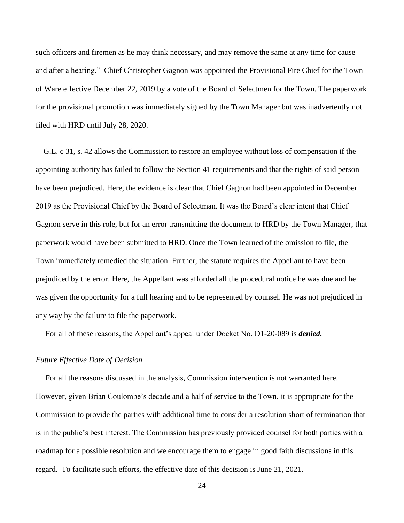such officers and firemen as he may think necessary, and may remove the same at any time for cause and after a hearing." Chief Christopher Gagnon was appointed the Provisional Fire Chief for the Town of Ware effective December 22, 2019 by a vote of the Board of Selectmen for the Town. The paperwork for the provisional promotion was immediately signed by the Town Manager but was inadvertently not filed with HRD until July 28, 2020.

 G.L. c 31, s. 42 allows the Commission to restore an employee without loss of compensation if the appointing authority has failed to follow the Section 41 requirements and that the rights of said person have been prejudiced. Here, the evidence is clear that Chief Gagnon had been appointed in December 2019 as the Provisional Chief by the Board of Selectman. It was the Board's clear intent that Chief Gagnon serve in this role, but for an error transmitting the document to HRD by the Town Manager, that paperwork would have been submitted to HRD. Once the Town learned of the omission to file, the Town immediately remedied the situation. Further, the statute requires the Appellant to have been prejudiced by the error. Here, the Appellant was afforded all the procedural notice he was due and he was given the opportunity for a full hearing and to be represented by counsel. He was not prejudiced in any way by the failure to file the paperwork.

For all of these reasons, the Appellant's appeal under Docket No. D1-20-089 is *denied.*

## *Future Effective Date of Decision*

 For all the reasons discussed in the analysis, Commission intervention is not warranted here. However, given Brian Coulombe's decade and a half of service to the Town, it is appropriate for the Commission to provide the parties with additional time to consider a resolution short of termination that is in the public's best interest. The Commission has previously provided counsel for both parties with a roadmap for a possible resolution and we encourage them to engage in good faith discussions in this regard. To facilitate such efforts, the effective date of this decision is June 21, 2021.